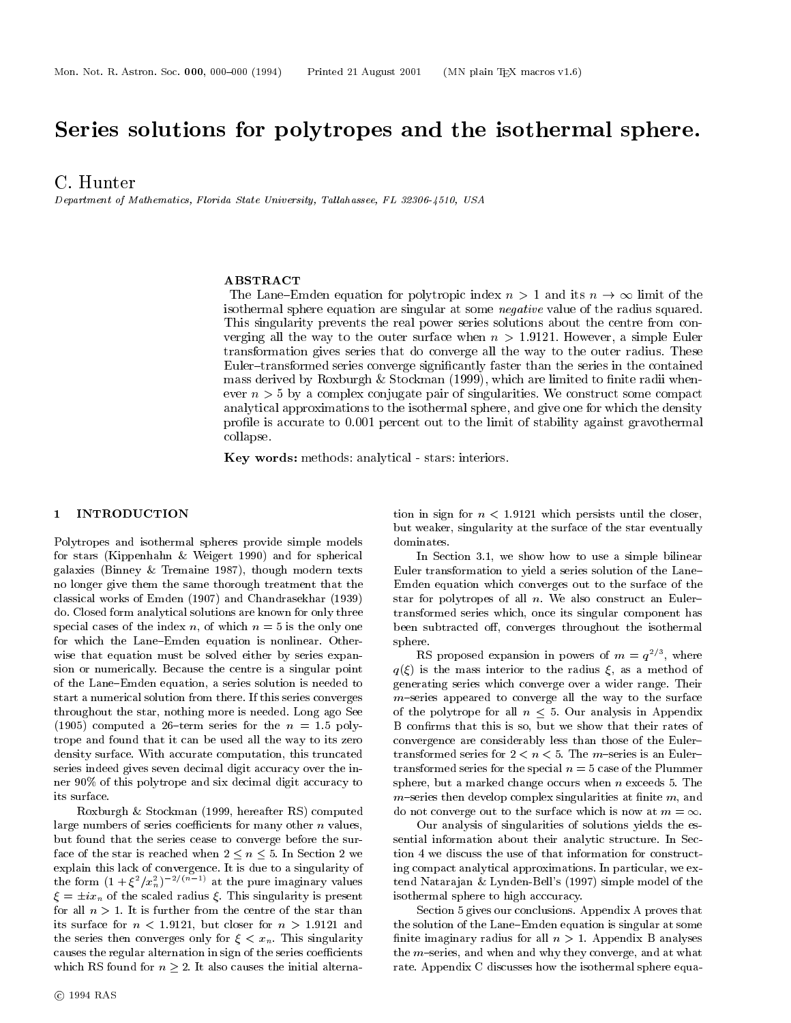# Series solutions for polytropes and the isothermal sphere.

C. Hunter

Department of Mathematics, Florida State University, Tallahassee, FL 32306-4510, USA

### **ABSTRACT**

The Lane Emmen equation for polytropic index  $n \geq 1$  and its  $n \to \infty$  mint of the isothermal sphere equation are singular at some *negative* value of the radius squared. This singularity prevents the real power series solutions about the centre from con verging all the way to the outer surface when  $n > 1.9121$ . However, a simple Euler transformation gives series that do converge all the way to the outer radius. These Euler{transformed series converge signicantly faster than the series in the containedmass derived by Roxburgh & Stockman (1999), which are limited to finite radii whenever  $n > 3$  by a complex conjugate pair of singularities. We construct some compact analytical approximations to the isothermal sphere, and give one for which the densityprole is accurate to 0.001 percent out to the limit of stability against gravothermalcollapse.

Key words: methods: analytical - stars: interiors.

#### **INTRODUCTION**  $\mathbf{1}$

Polytropes and isothermal spheres provide simple models for stars (Kippenhahn & Weigert 1990) and for spherical galaxies (Binney & Tremaine 1987), though modern texts no longer give them the same thorough treatment that the classical works of Emden (1907) and Chandrasekhar (1939) do. Closed form analytical solutions are known for only three special cases of the index n, of which  $n = 5$  is the only one for which the Lane-Emden equation is nonlinear. Otherwise that equation must be solved either by series expansion or numerically. Because the centre is a singular point of the Lane-Emden equation, a series solution is needed to start a numerical solution from there. If this series converges throughout the star, nothing more is needed. Long ago See (1905) computed a 26-term series for the  $n = 1.5$  polytrope and found that it can be used all the way to its zero density surface. With accurate computation, this truncated series indeed gives seven decimal digit accuracy over the inner 90% of this polytrope and six decimal digit accuracy to its surface.

Roxburgh & Stockman (1999, hereafter RS) computed large numbers of series coefficients for many other  $n$  values, but found that the series cease to converge before the surface of the star is reached when  $2 \leq n \leq 5$ . In Section 2 we explain this lack of convergence. It is due to a singularity of the form  $(1 + \xi / x_n)$  at the pure imaginary values t  $\xi = \pm ix_n$  of the scaled radius  $\xi$ . This singularity is present for all  $n > 1$ . It is further from the centre of the star than its surface for  $n < 1.9121$ , but closer for  $n > 1.9121$  and the series then converges only for  $\xi < x_n$ . This singularity causes the regular alternation in sign of the series coefficients which RS found for  $n \geq 2$ . It also causes the initial alterna-

tion in sign for  $n < 1.9121$  which persists until the closer, but weaker, singularity at the surface of the star eventually dominates.

In Section 3.1, we show how to use a simple bilinear Euler transformation to yield a series solution of the Lane{ Emden equation which converges out to the surface of the star for polytropes of all  $n$ . We also construct an Eulertransformed series which, once its singular component has been subtracted off, converges throughout the isothermal sphere.

RS proposed expansion in powers of  $m = q^{-\epsilon}$ , where  $q(\xi)$  is the mass interior to the radius  $\xi$ , as a method of generating series which converge over a wider range. Their  $m$ -series appeared to converge all the way to the surface of the polytrope for all  $n \leq 5$ . Our analysis in Appendix B conrms that this is so, but we show that their rates of convergence are considerably less than those of the Euler{ transformed series for  $2 < n < 5$ . The *m*-series is an Eulertransformed series for the special  $n = 5$  case of the Plummer sphere, but a marked change occurs when n exceeds 5. The  $m$ -series then develop complex singularities at finite  $m$ , and do not converge out to the surface which is now at  $m = \infty$ .

Our analysis of singularities of solutions yields the es sential information about their analytic structure. In Section 4 we discuss the use of that information for constructing compact analytical approximations. In particular, we ex tend Natarajan & Lynden-Bell's (1997) simple model of the isothermal sphere to high acccuracy.

Section 5 gives our conclusions. Appendix A proves that the solution of the Lane-Emden equation is singular at some finite imaginary radius for all  $n > 1$ . Appendix B analyses the  $m$ -series, and when and why they converge, and at what rate. Appendix C discusses how the isothermal sphere equa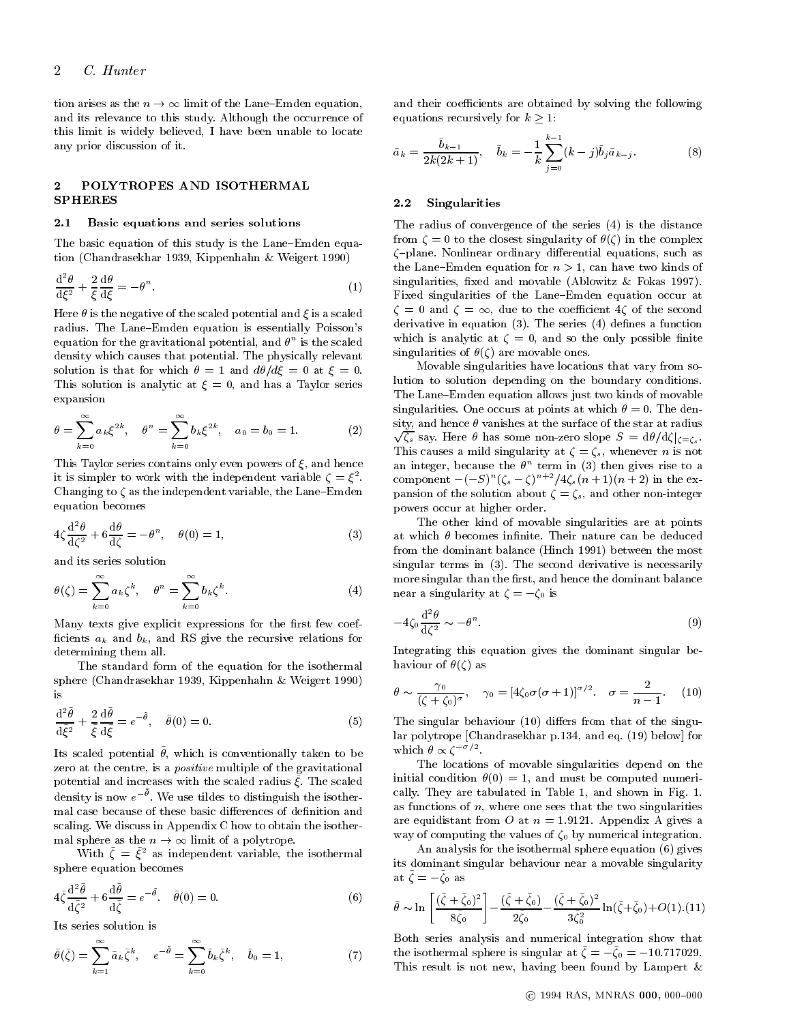tion arises as the  $n \to \infty$  limit of the Lane-Emden equation, and its relevance to this study. Although the occurrence of this limit is widely believed, I have been unable to locate any prior discussion of it.

# 2 POLYTROPES AND ISOTHERMAL SPHERES

#### 2.1 Basic equations and series solutions

The basic equation of this study is the Lane-Emden equation (Chandrasekhar 1939, Kippenhahn & Weigert 1990)

$$
\frac{\mathrm{d}^2\theta}{\mathrm{d}\xi^2} + \frac{2}{\xi}\frac{\mathrm{d}\theta}{\mathrm{d}\xi} = -\theta^n. \tag{1}
$$

Here  $\theta$  is the negative of the scaled potential and  $\xi$  is a scaled radius. The Lane{Emden equation is essentially Poisson's equation for the gravitational potential, and  $\theta^+$  is the scaled in  $\cdots$ density which causes that potential. The physically relevant solution is that for which  $\theta = 1$  and  $d\theta/d\xi = 0$  at  $\xi = 0$ . This solution is analytic at  $\xi = 0$ , and has a Taylor series expansion

$$
\theta = \sum_{k=0}^{\infty} a_k \xi^{2k}, \quad \theta^n = \sum_{k=0}^{\infty} b_k \xi^{2k}, \quad a_0 = b_0 = 1.
$$
 (2)

This Taylor series contains only even powers of  $\xi$ , and hence it is simpler to work with the independent variable  $\zeta = \xi^{-1}$  from Changing to  $\zeta$  as the independent variable, the Lane-Emden equation becomes

$$
4\zeta \frac{\mathrm{d}^2 \theta}{\mathrm{d}\zeta^2} + 6\frac{\mathrm{d}\theta}{\mathrm{d}\zeta} = -\theta^n, \quad \theta(0) = 1,\tag{3}
$$

and its series solution

$$
\theta(\zeta) = \sum_{k=0}^{\infty} a_k \zeta^k, \quad \theta^n = \sum_{k=0}^{\infty} b_k \zeta^k.
$$
 (4)

Many texts give explicit expressions for the first few coefficients  $a_k$  and  $b_k$ , and RS give the recursive relations for determining them all.

The standard form of the equation for the isothermal sphere (Chandrasekhar 1939, Kippenhahn & Weigert 1990) is

$$
\frac{\mathrm{d}^2\tilde{\theta}}{\mathrm{d}\tilde{\xi}^2} + \frac{2}{\tilde{\xi}}\frac{\mathrm{d}\tilde{\theta}}{\mathrm{d}\tilde{\xi}} = e^{-\tilde{\theta}}, \quad \tilde{\theta}(0) = 0.
$$
\n(5)

ns scaled potential v, which is conventionally taken to be zero at the centre, is a *positive* multiple of the gravitational potential and increases with the scaled radius ~ . The scaled density is now  $e^{-\nu}$ . We use tildes to distinguish the isothermal case because of these basic differences of definition and scaling. We discuss in Appendix C how to obtain the isothermal sphere as the n ! 1 limit of a polytrope.

With  $\zeta = \xi^-$  as independent variable, the isothermal sphere equation becomes

$$
4\tilde{\zeta}\frac{\mathrm{d}^2\tilde{\theta}}{\mathrm{d}\tilde{\zeta}^2} + 6\frac{\mathrm{d}\tilde{\theta}}{\mathrm{d}\tilde{\zeta}} = e^{-\tilde{\theta}}.\quad \tilde{\theta}(0) = 0.
$$
\n(6)

Its series solution is

$$
\tilde{\theta}(\tilde{\zeta}) = \sum_{k=1}^{\infty} \tilde{a}_k \tilde{\zeta}^k, \quad e^{-\tilde{\theta}} = \sum_{k=0}^{\infty} \tilde{b}_k \tilde{\zeta}^k, \quad \tilde{b}_0 = 1,
$$
\n(7)

and their coefficients are obtained by solving the following equations recursively for  $k \geq 1$ :

$$
\tilde{a}_k = \frac{\tilde{b}_{k-1}}{2k(2k+1)}, \quad \tilde{b}_k = -\frac{1}{k} \sum_{j=0}^{k-1} (k-j)\tilde{b}_j \tilde{a}_{k-j}.
$$
 (8)

#### 2.2 Singularities

The radius of convergence of the series (4) is the distance from  $\zeta = 0$  to the closest singularity of  $\theta(\zeta)$  in the complex  $\zeta$ -plane. Nonlinear ordinary differential equations, such as the Lane-Emden equation for  $n > 1$ , can have two kinds of singularities, fixed and movable (Ablowitz  $\&$  Fokas 1997). Fixed singularities of the Lane-Emden equation occur at  $\zeta = 0$  and  $\zeta = \infty$ , due to the coefficient 4 $\zeta$  of the second derivative in equation  $(3)$ . The series  $(4)$  defines a function which is analytic at  $\zeta = 0$ , and so the only possible finite singularities of  $\theta(\zeta)$  are movable ones.

Movable singularities have locations that vary from solution to solution depending on the boundary conditions. The Lane-Emden equation allows just two kinds of movable singularities. One occurs at points at which  $\theta = 0$ . The density, and hence  $\theta$  vanishes at the surface of the star at radius  $\sqrt{\zeta_s}$  say. Here  $\theta$  has some non-zero slope  $S = d\theta/d\zeta|_{\zeta=\zeta_s}$ . This causes a mild singularity at  $\zeta = \zeta_s$ , whenever *n* is not an integer, because the  $\theta^-$  term in (3) then gives rise to a component  $-(-5)^{n}$  ( $\zeta_{s} - \zeta$ )  $+2$  ( $n + 1$ )( $n + 2$ ) in the expansion of the solution about  $\zeta = \zeta_s$ , and other non-integer powers occur at higher order.

The other kind of movable singularities are at points at which  $\theta$  becomes infinite. Their nature can be deduced from the dominant balance (Hinch 1991) between the most singular terms in (3). The second derivative is necessarily more singular than the first, and hence the dominant balance near a singularity at  $\zeta = -\zeta_0$  is

$$
-4\zeta_0 \frac{\mathrm{d}^2 \theta}{\mathrm{d}\zeta^2} \sim -\theta^n. \tag{9}
$$

Integrating this equation gives the dominant singular behaviour of  $\theta(\zeta)$  as

$$
\theta \sim \frac{\gamma_0}{(\zeta + \zeta_0)^{\sigma}}, \quad \gamma_0 = [4\zeta_0 \sigma(\sigma + 1)]^{\sigma/2}. \quad \sigma = \frac{2}{n-1}.
$$
 (10)

The singular behaviour  $(10)$  differs from that of the singular polytrope [Chandrasekhar p.134, and eq. (19) below] for which  $\theta \propto \zeta$   $\sim$   $\sim$ 

The locations of movable singularities depend on the initial condition  $\theta(0) = 1$ , and must be computed numerically. They are tabulated in Table 1, and shown in Fig. 1. as functions of  $n$ , where one sees that the two singularities are equidistant from O at  $n = 1.9121$ . Appendix A gives a way of computing the values of  $\zeta_0$  by numerical integration.

An analysis for the isothermal sphere equation (6) gives its dominant singular behaviour near a movable singularity  $a_0 \zeta = -\zeta_0$  as

$$
\tilde{\theta} \sim \ln \left[ \frac{(\tilde{\zeta} + \tilde{\zeta}_0)^2}{8\tilde{\zeta}_0} \right] - \frac{(\tilde{\zeta} + \tilde{\zeta}_0)}{2\tilde{\zeta}_0} - \frac{(\tilde{\zeta} + \tilde{\zeta}_0)^2}{3\tilde{\zeta}_0^2} \ln(\tilde{\zeta} + \tilde{\zeta}_0) + O(1). (11)
$$

Both series analysis and numerical integration show that the isothermal sphere is singular at  $\zeta = -\zeta_0 = -10.717029$ . This result is not new, having been found by Lampert &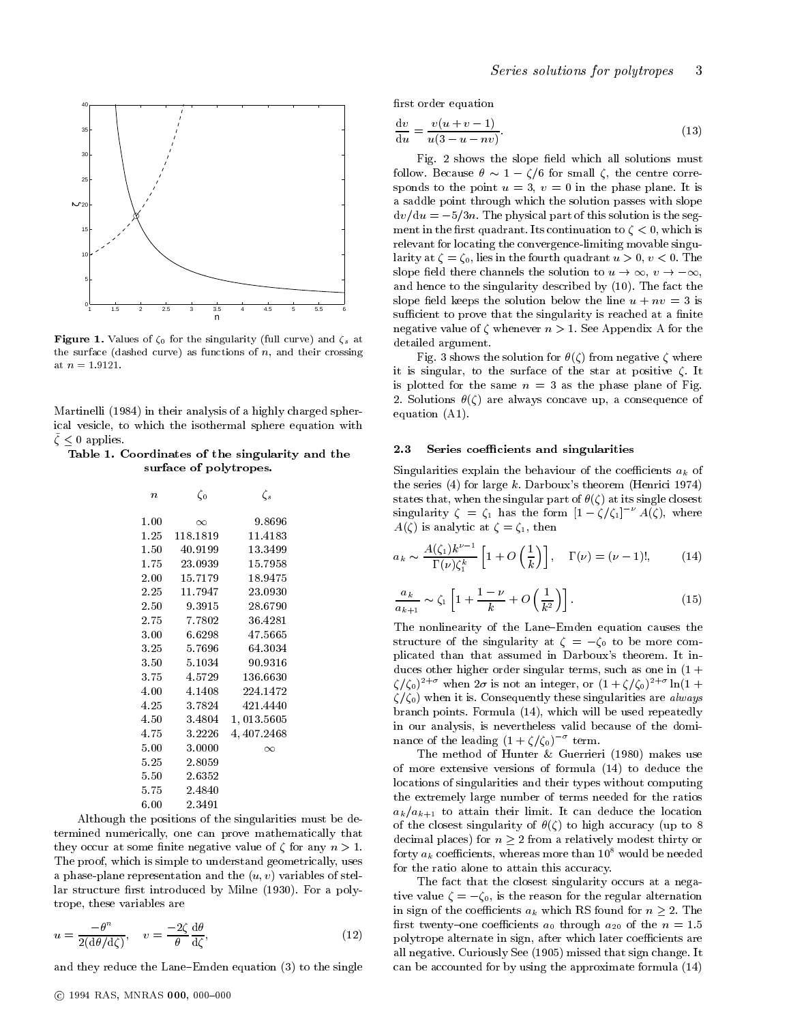

$$
\frac{dv}{du} = \frac{v(u+v-1)}{u(3-u-nv)}.\t(13)
$$

Fig. 2 shows the slope field which all solutions must follow. Because  $\theta \sim 1 - \zeta/6$  for small  $\zeta$ , the centre corresponds to the point  $u = 3$ ,  $v = 0$  in the phase plane. It is a saddle point through which the solution passes with slope  $dv/du = -5/3n$ . The physical part of this solution is the segment in the first quadrant. Its continuation to  $\zeta < 0$ , which is relevant for locating the convergence-limiting movable singularity at  $\zeta = \zeta_0$ , lies in the fourth quadrant  $u > 0$ ,  $v < 0$ . The slope field there channels the solution to  $u \to \infty$ ,  $v \to -\infty$ , and hence to the singularity described by (10). The fact the slope field keeps the solution below the line  $u + nv = 3$  is sufficient to prove that the singularity is reached at a finite negative value of  $\zeta$  whenever  $n > 1$ . See Appendix A for the detailed argument.

Fig. 3 shows the solution for  $\theta(\zeta)$  from negative  $\zeta$  where it is singular, to the surface of the star at positive  $\zeta$ . It is plotted for the same  $n = 3$  as the phase plane of Fig. 2. Solutions  $\theta(\zeta)$  are always concave up, a consequence of equation (A1).

#### 2.3 Series coefficients and singularities

Singularities explain the behaviour of the coefficients  $a_k$  of the series  $(4)$  for large k. Darboux's theorem (Henrici 1974) states that, when the singular part of  $\theta(\zeta)$  at its single closest singularity  $\zeta = \zeta_1$  has the form  $[1 - \zeta/\zeta_1]^{-\nu} A(\zeta)$ , where  $A(\zeta)$  is analytic at  $\zeta = \zeta_1$ , then

$$
a_k \sim \frac{A(\zeta_1)k^{\nu-1}}{\Gamma(\nu)\zeta_1^k} \left[1 + O\left(\frac{1}{k}\right)\right], \quad \Gamma(\nu) = (\nu - 1)!, \quad (14)
$$

$$
\frac{a_k}{a_{k+1}} \sim \zeta_1 \left[ 1 + \frac{1-\nu}{k} + O\left(\frac{1}{k^2}\right) \right].
$$
\n(15)

The nonlinearity of the Lane-Emden equation causes the structure of the singularity at  $\zeta = -\zeta_0$  to be more complicated than that assumed in Darboux's theorem. It induces other higher order singular terms, such as one in  $(1 +$  $\zeta/\zeta_0$  when  $2\sigma$  is not an integer, or  $(1 + \zeta/\zeta_0)$  in  $(1 + \zeta)$  $\zeta/\zeta_0$ ) when it is. Consequently these singularities are *always* branch points. Formula (14), which will be used repeatedly in our analysis, is nevertheless valid because of the dominance of the leading  $(1 + \zeta/\zeta_0)$  ferm.

The method of Hunter & Guerrieri (1980) makes use of more extensive versions of formula (14) to deduce the locations of singularities and their types without computing the extremely large number of terms needed for the ratios  $a_k/a_{k+1}$  to attain their limit. It can deduce the location of the closest singularity of  $\theta(\zeta)$  to high accuracy (up to 8) decimal places) for  $n \geq 2$  from a relatively modest thirty or forty  $a_k$  coefficients, whereas more than  $10^8$  would be needed for the ratio alone to attain this accuracy.

The fact that the closest singularity occurs at a negative value  $\zeta = -\zeta_0$ , is the reason for the regular alternation in sign of the coefficients  $a_k$  which RS found for  $n \geq 2$ . The first twenty-one coefficients  $a_0$  through  $a_{20}$  of the  $n = 1.5$ polytrope alternate in sign, after which later coefficients are all negative. Curiously See (1905) missed that sign change. It can be accounted for by using the approximate formula (14)

**Figure 1.** Values of  $\zeta_0$  for the singularity (full curve) and  $\zeta_s$  at the surface (dashed curve) as functions of  $n$ , and their crossing at  $n = 1.9121$ .

Martinelli (1984) in their analysis of a highly charged spherical vesicle, to which the isothermal sphere equation with ~ 0 applies.

Table 1. Coordinates of the singularity and the surface of polytropes.

| 76       | 50       | ςs          |  |
|----------|----------|-------------|--|
| $1.00\,$ | $\infty$ | 9.8696      |  |
| 1.25     | 118.1819 | 11.4183     |  |
| $1.50\,$ | 40.9199  | 13.3499     |  |
| 1.75     | 23.0939  | 15.7958     |  |
| $2.00\,$ | 15.7179  | 18.9475     |  |
| $2.25\,$ | 11.7947  | 23.0930     |  |
| $2.50\,$ | 9.3915   | 28.6790     |  |
| 2.75     | 7.7802   | 36.4281     |  |
| 3.00     | 6.6298   | 47.5665     |  |
| 3.25     | 5.7696   | 64.3034     |  |
| $3.50\,$ | 5.1034   | 90.9316     |  |
| 3.75     | 4.5729   | 136.6630    |  |
| 4.00     | 4.1408   | 224.1472    |  |
| 4.25     | 3.7824   | 421.4440    |  |
| 4.50     | 3.4804   | 1,013.5605  |  |
| 4.75     | 3.2226   | 4, 407.2468 |  |
| 5.00     | 3.0000   | $\infty$    |  |
| $5.25\,$ | 2.8059   |             |  |
| 5.50     | 2.6352   |             |  |
| 5.75     | 2.4840   |             |  |
| 6.00     | 2.3491   |             |  |

Although the positions of the singularities must be determined numerically, one can prove mathematically that they occur at some finite negative value of  $\zeta$  for any  $n > 1$ . The proof, which is simple to understand geometrically, uses a phase-plane representation and the  $(u, v)$  variables of stellar structure first introduced by Milne (1930). For a polytrope, these variables are

$$
u = \frac{-\theta^n}{2(\mathrm{d}\theta/\mathrm{d}\zeta)}, \quad v = \frac{-2\zeta}{\theta} \frac{\mathrm{d}\theta}{\mathrm{d}\zeta},\tag{12}
$$

and they reduce the Lane-Emden equation  $(3)$  to the single

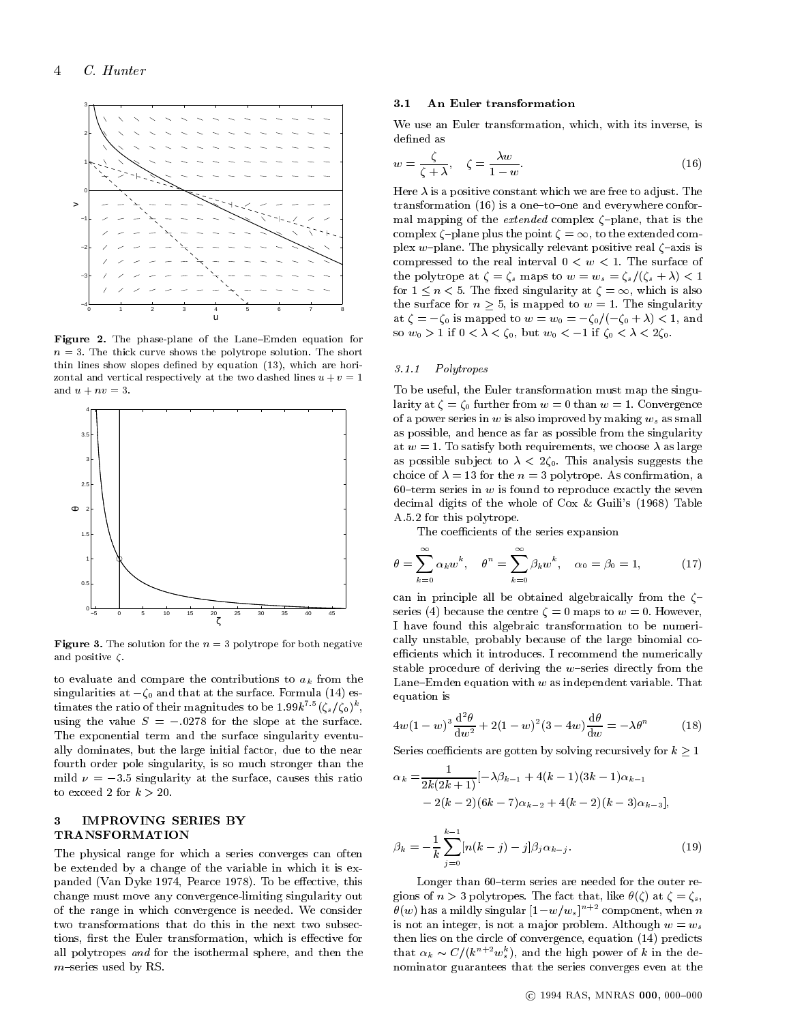

Figure 2. The phase-plane of the Lane{Emden equation for  $n = 3$ . The thick curve shows the polytrope solution. The short thin lines show slopes defined by equation  $(13)$ , which are horizontal and vertical respectively at the two dashed lines  $u + v = 1$ and  $u + nv = 3$ .



**Figure 3.** The solution for the  $n = 3$  polytrope for both negative  $\blacksquare$ and positive  $\zeta$ .

to evaluate and compare the contributions to  $a_k$  from the singularities at  $-\zeta_0$  and that at the surface. Formula (14) estimates the ratio of their magnitudes to be  $1.99k$  ((s/(0)), using the value  $S = -.0278$  for the slope at the surface. The exponential term and the surface singularity eventually dominates, but the large initial factor, due to the near fourth order pole singularity, is so much stronger than the mild  $\nu = -3.5$  singularity at the surface, causes this ratio to exceed 2 for  $k > 20$ .

#### $\boldsymbol{\mathcal{R}}$ **IMPROVING SERIES BY** TRANSFORMATION

The physical range for which a series converges can often be extended by a change of the variable in which it is expanded (Van Dyke 1974, Pearce 1978). To be effective, this change must move any convergence-limiting singularity out of the range in which convergence is needed. We consider two transformations that do this in the next two subsections, first the Euler transformation, which is effective for all polytropes and for the isothermal sphere, and then the  $m$ -series used by RS.

#### $3.1$ An Euler transformation

We use an Euler transformation, which, with its inverse, is defined as

$$
w = \frac{\zeta}{\zeta + \lambda}, \quad \zeta = \frac{\lambda w}{1 - w}.
$$
\n(16)

Here  $\lambda$  is a positive constant which we are free to adjust. The transformation  $(16)$  is a one-to-one and everywhere conformal mapping of the *extended* complex  $\zeta$ -plane, that is the complex  $\zeta$ -plane plus the point  $\zeta = \infty$ , to the extended complex w-plane. The physically relevant positive real  $\zeta$ -axis is compressed to the real interval  $0 < w < 1$ . The surface of the polytrope at  $\zeta = \zeta_s$  maps to  $w = w_s = \zeta_s/(\zeta_s + \lambda) < 1$ for  $1 \leq n < 5$ . The fixed singularity at  $\zeta = \infty$ , which is also the surface for  $n \geq 5$ , is mapped to  $w = 1$ . The singularity at  $\zeta = -\zeta_0$  is mapped to  $w = w_0 = -\zeta_0 / (-\zeta_0 + \lambda) < 1$ , and so  $w_0 > 1$  if  $0 < \lambda < \zeta_0$ , but  $w_0 < -1$  if  $\zeta_0 < \lambda < 2\zeta_0$ .

#### 3.1.1Polytropes

To be useful, the Euler transformation must map the singularity at  $\zeta = \zeta_0$  further from  $w = 0$  than  $w = 1$ . Convergence of a power series in  $w$  is also improved by making  $w_s$  as small as possible, and hence as far as possible from the singularity at  $w = 1$ . To satisfy both requirements, we choose  $\lambda$  as large as possible subject to  $\lambda < 2\zeta_0$ . This analysis suggests the choice of  $\lambda = 13$  for the  $n = 3$  polytrope. As confirmation, a 60-term series in  $w$  is found to reproduce exactly the seven decimal digits of the whole of Cox & Guili's (1968) Table A.5.2 for this polytrope.

The coefficients of the series expansion

$$
\theta = \sum_{k=0}^{\infty} \alpha_k w^k, \quad \theta^n = \sum_{k=0}^{\infty} \beta_k w^k, \quad \alpha_0 = \beta_0 = 1, \quad (17)
$$

can in principle all be obtained algebraically from the  $\zeta$ series (4) because the centre  $\zeta = 0$  maps to  $w = 0$ . However, I have found this algebraic transformation to be numerically unstable, probably because of the large binomial coefficients which it introduces. I recommend the numerically stable procedure of deriving the  $w$ -series directly from the Lane-Emden equation with  $w$  as independent variable. That equation is

$$
4w(1-w)^3\frac{\mathrm{d}^2\theta}{\mathrm{d}w^2} + 2(1-w)^2(3-4w)\frac{\mathrm{d}\theta}{\mathrm{d}w} = -\lambda\theta^n \tag{18}
$$

Series coefficients are gotten by solving recursively for  $k \geq 1$ 

$$
\alpha_k = \frac{1}{2k(2k+1)}[-\lambda\beta_{k-1} + 4(k-1)(3k-1)\alpha_{k-1} - 2(k-2)(6k-7)\alpha_{k-2} + 4(k-2)(k-3)\alpha_{k-3}],
$$

$$
\beta_k = -\frac{1}{k} \sum_{j=0}^{k-1} [n(k-j) - j] \beta_j \alpha_{k-j}.
$$
 (19)

Longer than 60-term series are needed for the outer regions of  $n > 3$  polytropes. The fact that, like  $\theta(\zeta)$  at  $\zeta = \zeta_s$ ,  $\tilde{\theta}(w)$  has a mildly singular  $[1-w/w_s]^{n+2}$  component, when n is not an integer, is not a major problem. Although  $w = w_s$ then lies on the circle of convergence, equation (14) predicts that  $\alpha_k \thicksim C/(k^{n+1}w_s^2)$ , and the high power of k in the denominator guarantees that the series converges even at the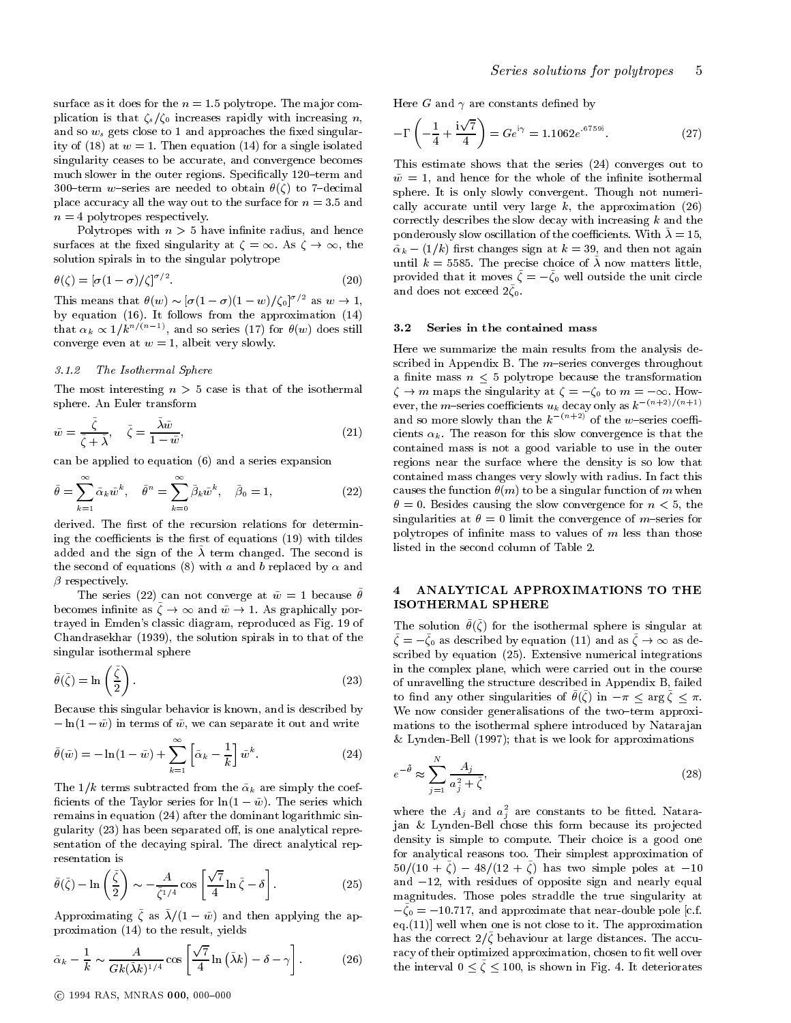surface as it does for the  $n = 1.5$  polytrope. The major complication is that  $\zeta_s/\zeta_0$  increases rapidly with increasing n, and so  $w_s$  gets close to 1 and approaches the fixed singularity of (18) at  $w = 1$ . Then equation (14) for a single isolated singularity ceases to be accurate, and convergence becomes much slower in the outer regions. Specifically 120-term and 300-term w-series are needed to obtain  $\theta(\zeta)$  to 7-decimal place accuracy all the way out to the surface for  $n = 3.5$  and  $n = 4$  polytropes respectively.

Polytropes with  $n > 5$  have infinite radius, and hence surfaces at the fixed singularity at  $\zeta = \infty$ . As  $\zeta \to \infty$ , the solution spirals in to the singular polytrope

$$
\theta(\zeta) = \left[\sigma(1-\sigma)/\zeta\right]^{\sigma/2}.\tag{20}
$$

This means that  $\theta(w) \sim [\sigma(1-\sigma)(1-w)/\zeta_0]^{\sigma/2}$  as  $w \to 1$ , by equation (16). It follows from the approximation (14) that  $\alpha_k \propto 1/k^{n/(n-1)}$ , and so series (17) for  $\theta(w)$  does still 3.2 converge even at  $w = 1$ , albeit very slowly.

#### The Isothermal Sphere

The most interesting  $n > 5$  case is that of the isothermal sphere. An Euler transform

$$
\tilde{w} = \frac{\tilde{\zeta}}{\tilde{\zeta} + \tilde{\lambda}}, \quad \tilde{\zeta} = \frac{\tilde{\lambda}\tilde{w}}{1 - \tilde{w}},
$$
\n(21)

can be applied to equation (6) and a series expansion

$$
\tilde{\theta} = \sum_{k=1}^{\infty} \tilde{\alpha}_k \tilde{w}^k, \quad \tilde{\theta}^n = \sum_{k=0}^{\infty} \tilde{\beta}_k \tilde{w}^k, \quad \tilde{\beta}_0 = 1,
$$
\n(22)

derived. The first of the recursion relations for determining the coefficients is the first of equations  $(19)$  with tildes added and the sign of the  $\lambda$  term changed. The second is the second of equations (8) with a and b replaced by  $\alpha$  and  $\beta$  respectively.

The series (22) can not converge at  $\tilde{w} = 1$  because  $\tilde{\theta}$ becomes inhibite as  $\zeta \to \infty$  and  $w \to 1$ . As graphically portrayed in Emden's classic diagram, reproduced as Fig. 19 of Chandrasekhar (1939), the solution spirals in to that of the singular isothermal sphere

$$
\tilde{\theta}(\tilde{\zeta}) = \ln\left(\frac{\tilde{\zeta}}{2}\right). \tag{23}
$$

Because this singular behavior is known, and is described by  $-\ln(1 - \tilde{w})$  in terms of  $\tilde{w}$ , we can separate it out and write

$$
\tilde{\theta}(\tilde{w}) = -\ln(1 - \tilde{w}) + \sum_{k=1}^{\infty} \left[ \tilde{\alpha}_k - \frac{1}{k} \right] \tilde{w}^k.
$$
\n(24)

The  $1/k$  terms subtracted from the  $\tilde{\alpha}_k$  are simply the coefficients of the Taylor series for  $ln(1 - \tilde{w})$ . The series which remains in equation (24) after the dominant logarithmic singularity  $(23)$  has been separated off, is one analytical representation of the decaying spiral. The direct analytical rep resentation is

$$
\tilde{\theta}(\tilde{\zeta}) - \ln\left(\frac{\tilde{\zeta}}{2}\right) \sim -\frac{A}{\tilde{\zeta}^{1/4}}\cos\left[\frac{\sqrt{7}}{4}\ln\tilde{\zeta} - \delta\right].
$$
\n(25)

 $\Delta p$  as  $\Delta p$  and then applying the approximation (14) to the result, yields

$$
\tilde{\alpha}_k - \frac{1}{k} \sim \frac{A}{Gk(\tilde{\lambda}k)^{1/4}} \cos\left[\frac{\sqrt{7}}{4}\ln\left(\tilde{\lambda}k\right) - \delta - \gamma\right].
$$
 (26)

Here G and  $\gamma$  are constants defined by

$$
-\Gamma\left(-\frac{1}{4} + \frac{i\sqrt{7}}{4}\right) = Ge^{i\gamma} = 1.1062e^{-6759i}.
$$
 (27)

This estimate shows that the series (24) converges out to  $\tilde{w} = 1$ , and hence for the whole of the infinite isothermal sphere. It is only slowly convergent. Though not numerically accurate until very large  $k$ , the approximation (26) correctly describes the slow decay with increasing  $k$  and the ponderously slow oscillation of the coefficients. With  $\lambda = 15$ ,  $\tilde{\alpha}_k - (1/k)$  first changes sign at  $k = 39$ , and then not again until  $k = 5585$ . The precise choice of  $\tilde{\lambda}$  now matters little,  $p_{\text{1}}$  ovided that it moves  $\zeta = -\zeta_0$  well outside the unit circle and does not exceed  $2\bar{\zeta}_0$ .

### Series in the contained mass

Here we summarize the main results from the analysis described in Appendix B. The  $m$ -series converges throughout a finite mass  $n \leq 5$  polytrope because the transformation  $\zeta \to m$  maps the singularity at  $\zeta = -\zeta_0$  to  $m = -\infty$ . However, the *m*–series coefficients  $u_k$  decay only as  $k^{-(n+2)/(n+1)}$ and so more slowly than the  $k^{-(n+2)}$  of the w-series coefficients  $\alpha_k.$  The reason for this slow convergence is that the contained mass is not a good variable to use in the outer regions near the surface where the density is so low thatcontained mass changes very slowly with radius. In fact this causes the function  $\theta(m)$  to be a singular function of m when  $\theta = 0$ . Besides causing the slow convergence for  $n < 5$ , the singularities at  $\theta = 0$  limit the convergence of m-series for polytropes of infinite mass to values of  $m$  less than those listed in the second column of Table 2.

#### 4 ANALYTICAL APPROXIMATIONS TO THE 4 ISOTHERMAL SPHERE

The solution  $\tilde{\theta}(\tilde{\zeta})$  for the isothermal sphere is singular at  $\zeta = -\zeta_0$  as described by equation (11) and as  $\zeta \to \infty$  as described by equation (25). Extensive numerical integrations in the complex plane, which were carried out in the course of unravelling the structure described in Appendix B, failed to mud any other singularities of  $v(\zeta)$  in  $-n \lt a$ ig  $\zeta \lt n$ . We now consider generalisations of the two-term approximations to the isothermal sphere introduced by Natara jan & Lynden-Bell (1997); that is we look for approximations

$$
e^{-\tilde{\theta}} \approx \sum_{j=1}^{N} \frac{A_j}{a_j^2 + \tilde{\zeta}},\tag{28}
$$

where the  $A_j$  and  $a_j$  are constants to be fitted. Natarajan & Lynden-Bell chose this form because its projected density is simple to compute. Their choice is a good one for analytical reasons too. Their simplest approximation of  $30/(10 + 1) = 40/(12 + 1)$  has two simple poles at  $-10$ and  $-12$ , with residues of opposite sign and nearly equal magnitudes. Those poles straddle the true singularity at  $-\zeta_0 = -10.717$ , and approximate that near-double pole [c.f.] eq.(11)] well when one is not close to it. The approximation has the correct  $2/\zeta$  behaviour at large distances. The accuracy of their optimized approximation, chosen to fit well over  $\frac{1}{100}$  interval  $0 \leq \zeta \leq 100$ , is shown in Fig. 4. It deteriorates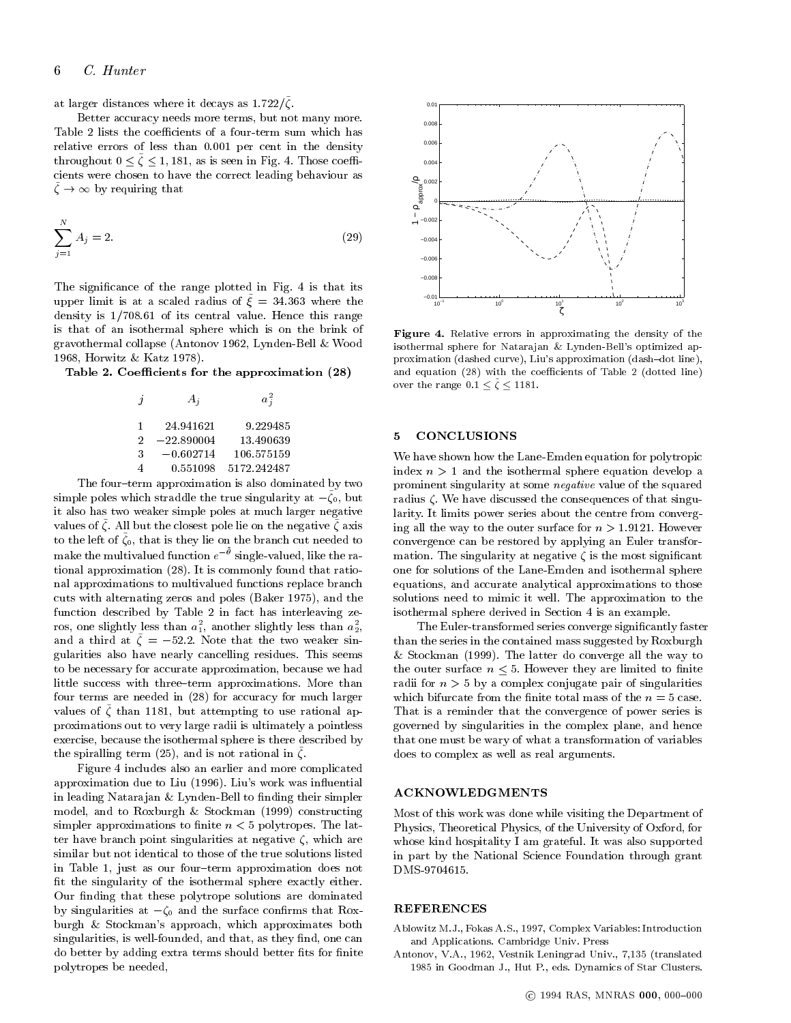at larger distances where it decays as  $1.722$ / $\zeta$ .

Better accuracy needs more terms, but not many more. Table 2 lists the coefficients of a four-term sum which has relative errors of less than 0.001 per cent in the density throughout  $0 \le \zeta \le 1$ , 181, as is seen in Fig. 4. Those coefficients were chosen to have the correct leading behaviour as  $\zeta \to \infty$  by requiring that

$$
\sum_{j=1}^{N} A_j = 2. \tag{29}
$$

The signicance of the range plotted in Fig.4 is that its upper limit is at a scaled radius of  $\xi = 34.363$  where the density is  $1/708.61$  of its central value. Hence this range is that of an isothermal sphere which is on the brink of gravothermal collapse (Antonov 1962, Lynden-Bell & Wood 1968, Horwitz & Katz 1978).

Table 2. Coefficients for the approximation (28)

|   | $A_i$        | $a_{\tilde{i}}$ |
|---|--------------|-----------------|
| 1 | 24.941621    | 9.229485        |
| 2 | $-22.890004$ | 13.490639       |
| 3 | $-0.602714$  | 106.575159      |
|   | 0.551098     | 5172.242487     |

The four-term approximation is also dominated by two simple poles which stradule the true singularity at  $-\zeta_0$ , but  $\eta_0$ it also has two weaker simple poles at much larger negative values of  $\zeta$ . All but the closest pole lie on the negative  $\zeta$  axis  $\zeta$ to the left of  $\zeta_0$ , that is they lie on the branch cut needed to  $\zeta_0$  cont make the multivalued function  $e^{-\nu}$  single-valued, like the ra- ma tional approximation (28). It is commonly found that rational approximations to multivalued functions replace branch cuts with alternating zeros and poles (Baker 1975), and the function described by Table 2 in fact has interleaving ze ros, one slightly less than  $a_1$ , another slightly less than  $a_2$ , and a third at  $\zeta = -52.2$ . Note that the two weaker singularities also have nearly cancelling residues. This seems to be necessary for accurate approximation, because we had little success with three-term approximations. More than four terms are needed in (28) for accuracy for much larger values of  $\zeta$  than 1181, but attempting to use rational approximations out to very large radii is ultimately a pointless exercise, because the isothermal sphere is there described by  $\frac{1}{2}$  the spiralling term (25), and is not rational in  $\zeta$ .

Figure 4 includes also an earlier and more complicated approximation due to Liu (1996). Liu's work was in
uential in leading Natarajan & Lynden-Bell to finding their simpler model, and to Roxburgh & Stockman (1999) constructing simpler approximations to finite  $n < 5$  polytropes. The latter have branch point singularities at negative  $\zeta$ , which are similar but not identical to those of the true solutions listed in Table 1, just as our four-term approximation does not t the singularity of the isothermal sphere exactly either. Our finding that these polytrope solutions are dominated by singularities at  $-\zeta_0$  and the surface confirms that Roxburgh & Stockman's approach, which approximates both singularities, is well-founded, and that, as they find, one can do better by adding extra terms should better fits for finite polytropes be needed,



 $\mathbf{F}$ igure  $\mathbf{F}$ . Relative errors in approximating the density of the density of the set isothermal sphere for Natarajan & Lynden-Bell's optimized approximation (dashed curve), Liu's approximation (dash-dot line), and equation  $(28)$  with the coefficients of Table 2 (dotted line) over the range  $0.1 < \zeta < 1181$ .

#### 5 **CONCLUSIONS**

We have shown how the Lane-Emden equation for polytropic index  $n > 1$  and the isothermal sphere equation develop a prominent singularity at some negative value of the squared radius  $\zeta$ . We have discussed the consequences of that singularity. It limits power series about the centre from converging all the way to the outer surface for  $n > 1.9121$ . However convergence can be restored by applying an Euler transformation. The singularity at negative  $\zeta$  is the most significant one for solutions of the Lane-Emden and isothermal sphere equations, and accurate analytical approximations to those solutions need to mimic it well. The approximation to the isothermal sphere derived in Section 4 is an example.

The Euler-transformed series converge signicantly faster than the series in the contained mass suggested by Roxburgh & Stockman (1999). The latter do converge all the way to the outer surface  $n \leq 5$ . However they are limited to finite radii for  $n > 5$  by a complex conjugate pair of singularities which bifurcate from the finite total mass of the  $n=5$  case. That is a reminder that the convergence of power series is governed by singularities in the complex plane, and hence that one must be wary of what a transformation of variables does to complex as well as real arguments.

### ACKNOWLEDGMENTS

Most of this work was done while visiting the Department of Physics, Theoretical Physics, of the University of Oxford, for whose kind hospitality I am grateful. It was also supported in part by the National Science Foundation through grant DMS-9704615.

#### REFERENCES

Ablowitz M.J., Fokas A.S., 1997, Complex Variables: Introduction and Applications. Cambridge Univ. Press

Antonov, V.A., 1962, Vestnik Leningrad Univ., 7,135 (translated 1985 in Goodman J., Hut P., eds. Dynamics of Star Clusters.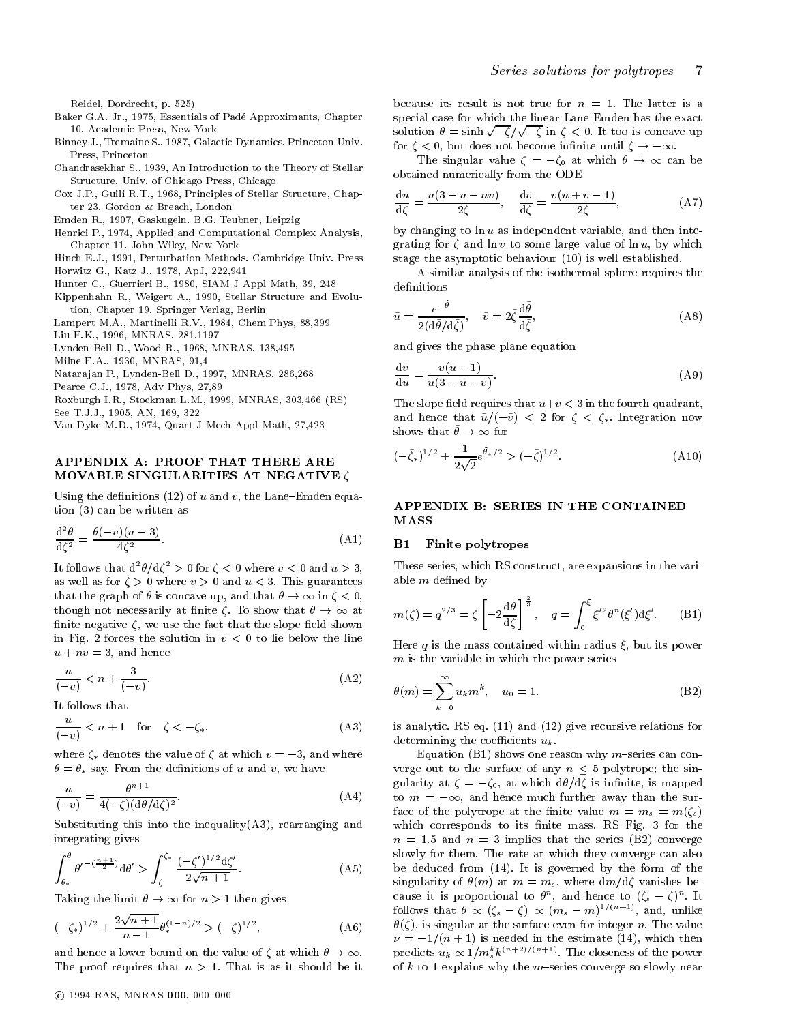Reidel, Dordrecht, p. 525)

- Baker G.A. Jr., 1975, Essentials of Pade Approximants, Chapter 10. Academic Press, New York
- Binney J., Tremaine S., 1987, Galactic Dynamics. Princeton Univ. Press, Princeton
- Chandrasekhar S., 1939, An Introduction to the Theory of Stellar Structure. Univ. of Chicago Press, Chicago
- Cox J.P., Guili R.T., 1968, Principles of Stellar Structure, Chapter 23. Gordon & Breach, London
- Emden R., 1907, Gaskugeln. B.G. Teubner, Leipzig

Henrici P., 1974, Applied and Computational Complex Analysis, Chapter 11. John Wiley, New York

- Hinch E.J., 1991, Perturbation Methods. Cambridge Univ. Press
- Horwitz G., Katz J., 1978, ApJ, 222,941
- Hunter C., Guerrieri B., 1980, SIAM J Appl Math, 39, 248

Kippenhahn R., Weigert A., 1990, Stellar Structure and Evolution, Chapter 19. Springer Verlag, Berlin

Lampert M.A., Martinelli R.V., 1984, Chem Phys, 88,399

Liu F.K., 1996, MNRAS, 281,1197

Lynden-Bell D., Wood R., 1968, MNRAS, 138,495

Milne E.A., 1930, MNRAS, 91,4

Natara jan P., Lynden-Bell D., 1997, MNRAS, 286,268

Pearce C.J., 1978, Adv Phys, 27,89

Roxburgh I.R., Stockman L.M., 1999, MNRAS, 303,466 (RS)

See T.J.J., 1905, AN, 169, 322

Van Dyke M.D., 1974, Quart J Mech Appl Math, 27,423

### APPENDIX A: PROOF THAT THERE ARE MOVABLE SINGULARITIES AT NEGATIVE  $\zeta$

Using the definitions (12) of u and v, the Lane-Emden equation (3) can be written as

$$
\frac{\mathrm{d}^2 \theta}{\mathrm{d}\zeta^2} = \frac{\theta(-v)(u-3)}{4\zeta^2}.\tag{A1}
$$

It follows that  $d^-\theta/d\zeta^- > 0$  for  $\zeta < 0$  where  $v < 0$  and  $u > 3$ , thes as well as for  $\zeta > 0$  where  $v > 0$  and  $u < 3$ . This guarantees that the graph of  $\theta$  is concave up, and that  $\theta \to \infty$  in  $\zeta < 0$ , though not necessarily at finite  $\zeta$ . To show that  $\theta \to \infty$  at finite negative  $\zeta$ , we use the fact that the slope field shown in Fig. 2 forces the solution in  $v < 0$  to lie below the line  $u + nv = 3$ , and hence

$$
\frac{u}{(-v)} < n + \frac{3}{(-v)}.\tag{A2}
$$

It follows that

$$
\frac{u}{(-v)} < n+1 \quad \text{for} \quad \zeta < -\zeta_*, \tag{A3} \tag{A3}
$$

where  $\zeta_*$  denotes the value of  $\zeta$  at which  $v = -3$ , and where  $\theta = \theta_*$  say. From the definitions of u and v, we have

$$
\frac{u}{(-v)} = \frac{\theta^{n+1}}{4(-\zeta)(\mathrm{d}\theta/\mathrm{d}\zeta)^2}.\tag{A4}
$$

Substituting this into the inequality $(A3)$ , rearranging and integrating gives

$$
\int_{\theta_*}^{\theta} \theta'^{-(\frac{n+1}{2})} d\theta' > \int_{\zeta}^{\zeta_*} \frac{(-\zeta')^{1/2} d\zeta'}{2\sqrt{n+1}}.
$$
\n(A5)

Taking the limit  $\theta \to \infty$  for  $n > 1$  then gives

$$
(-\zeta_*)^{1/2} + \frac{2\sqrt{n+1}}{n-1} \theta_*^{(1-n)/2} > (-\zeta)^{1/2},
$$
 (A6)

and hence a lower bound on the value of  $\zeta$  at which  $\theta \to \infty$ . The proof requires that  $n > 1$ . That is as it should be it because its result is not true for  $n = 1$ . The latter is a special case for which the linear Lane-Emden has the exact solution  $\theta = \sinh \sqrt{-\zeta}/\sqrt{-\zeta}$  in  $\zeta < 0$ . It too is concave up for  $\zeta$  < 0, but does not become infinite until  $\zeta \to -\infty$ .

The singular value  $\zeta = -\zeta_0$  at which  $\theta \to \infty$  can be obtained numerically from the ODE

$$
\frac{\mathrm{d}u}{\mathrm{d}\zeta} = \frac{u(3-u-nv)}{2\zeta}, \quad \frac{\mathrm{d}v}{\mathrm{d}\zeta} = \frac{v(u+v-1)}{2\zeta},\tag{A7}
$$

by changing to  $\ln u$  as independent variable, and then integrating for  $\zeta$  and ln v to some large value of ln u, by which stage the asymptotic behaviour (10) is well established.

A similar analysis of the isothermal sphere requires the definitions

$$
\tilde{u} = \frac{e^{-\tilde{\theta}}}{2(\mathrm{d}\tilde{\theta}/\mathrm{d}\tilde{\zeta})}, \quad \tilde{v} = 2\tilde{\zeta}\frac{\mathrm{d}\tilde{\theta}}{\mathrm{d}\tilde{\zeta}},\tag{A8}
$$

and gives the phase plane equation

$$
\frac{\mathrm{d}\tilde{v}}{\mathrm{d}\tilde{u}} = \frac{\tilde{v}(\tilde{u} - 1)}{\tilde{u}(3 - \tilde{u} - \tilde{v})}.
$$
\n(A9)

The slope field requires that  $\tilde{u} + \tilde{v} < 3$  in the fourth quadrant, and hence that  $u/(-v) \leq 2$  for  $\zeta \leq \zeta_*$ . Integration now shows that  $v \to \infty$  for

$$
(-\tilde{\zeta}_*)^{1/2} + \frac{1}{2\sqrt{2}}e^{\tilde{\theta}_*/2} > (-\tilde{\zeta})^{1/2}.
$$
 (A10)

## APPENDIX B: SERIES IN THE CONTAINED MASS

#### B1 Finite polytropes

These series, which RS construct, are expansions in the variable  $m$  defined by

$$
m(\zeta) = q^{2/3} = \zeta \left[ -2\frac{\mathrm{d}\theta}{\mathrm{d}\zeta} \right]^{\frac{2}{3}}, \quad q = \int_0^{\xi} \xi'^2 \theta^n(\xi') \mathrm{d}\xi'. \tag{B1}
$$

Here q is the mass contained within radius  $\xi$ , but its power  $m$  is the variable in which the power series

$$
\theta(m) = \sum_{k=0}^{\infty} u_k m^k, \quad u_0 = 1.
$$
 (B2)

is analytic. RS eq. (11) and (12) give recursive relations for determining the coefficients  $u_k$ .

Equation (B1) shows one reason why m-series can converge out to the surface of any  $n \leq 5$  polytrope; the singularity at  $\zeta = -\zeta_0$ , at which  $d\theta/d\zeta$  is infinite, is mapped to  $m = -\infty$ , and hence much further away than the surface of the polytrope at the finite value  $m = m_s = m(\zeta_s)$ which corresponds to its finite mass. RS Fig. 3 for the  $n = 1.5$  and  $n = 3$  implies that the series (B2) converge slowly for them. The rate at which they converge can also be deduced from (14). It is governed by the form of the singularity of  $\theta(m)$  at  $m = m_s$ , where  $dm/d\zeta$  vanishes because it is proportional to  $\theta^{\alpha}$ , and hence to  $(\zeta_s - \zeta)^{\alpha}$ . It follows that  $\theta \propto (\zeta_s - \zeta) \propto (m_s - m)^{1/(1+\gamma)}$ , and, unlike  $\theta(\zeta)$ , is singular at the surface even for integer n. The value  $\nu = -1/(n + 1)$  is needed in the estimate (14), which then predicts  $u_k \propto 1/m_s^2 k^{(\gamma+\gamma)/(\gamma+\gamma)}$ . The closeness of the power of  $k$  to 1 explains why the m-series converge so slowly near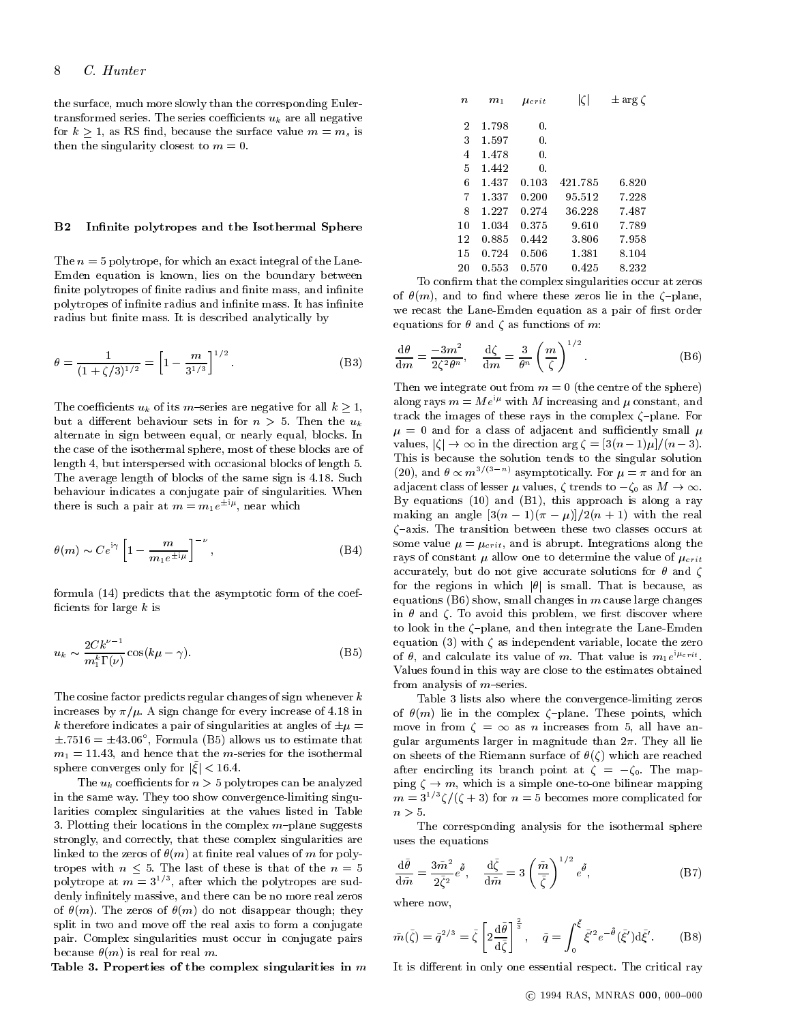the surface, much more slowly than the corresponding Eulertransformed series. The series coefficients  $u_k$  are all negative for  $k \geq 1$ , as RS find, because the surface value  $m = m_s$  is then the singularity closest to  $m = 0$ .

#### $B<sub>2</sub>$ Infinite polytropes and the Isothermal Sphere

The  $n = 5$  polytrope, for which an exact integral of the Lane-Emden equation is known, lies on the boundary between finite polytropes of finite radius and finite mass, and infinite polytropes of infinite radius and infinite mass. It has infinite radius but finite mass. It is described analytically by

$$
\theta = \frac{1}{(1 + \zeta/3)^{1/2}} = \left[1 - \frac{m}{3^{1/3}}\right]^{1/2}.
$$
 (B3)

The coefficients  $u_k$  of its m-series are negative for all  $k \geq 1$ , but a different behaviour sets in for  $n > 5$ . Then the  $u_k$ alternate in sign between equal, or nearly equal, blocks. In the case of the isothermal sphere, most of these blocks are of length 4, but interspersed with occasional blocks of length 5. The average length of blocks of the same sign is 4:18. Such behaviour indicates a conjugate pair of singularities. When there is such a pair at  $m = m_1 e^{-\gamma r}$ , near which

$$
\theta(m) \sim Ce^{i\gamma} \left[1 - \frac{m}{m_1 e^{\pm i\mu}}\right]^{-\nu},\tag{B4}
$$

formula (14) predicts that the asymptotic form of the coef ficients for large  $k$  is

$$
u_k \sim \frac{2C k^{\nu - 1}}{m_1^k \Gamma(\nu)} \cos(k\mu - \gamma). \tag{B5}
$$

The cosine factor predicts regular changes of sign whenever  $k$ increases by  $\pi/\mu$ . A sign change for every increase of 4.18 in k therefore indicates a pair of singularities at angles of  $\pm \mu =$  $\pm$ . (516 =  $\pm$ 43.06", Formula (B5) allows us to estimate that  $_{\rm{gr}}$  $m_1 = 11.43$ , and hence that the m-series for the isothermal sphere converges only for  $|\xi| < 16.4$ .

The  $u_k$  coefficients for  $n > 5$  polytropes can be analyzed in the same way. They too show convergence-limiting singularities complex singularities at the values listed in Table 3. Plotting their locations in the complex  $m$ -plane suggests strongly, and correctly, that these complex singularities are linked to the zeros of  $\theta(m)$  at finite real values of m for polytropes with  $n \leq 5$ . The last of these is that of the  $n = 5$ polytrope at  $m=3$   $^{\prime}$  , after which the polytropes are suddenly infinitely massive, and there can be no more real zeros of  $\theta(m)$ . The zeros of  $\theta(m)$  do not disappear though; they split in two and move off the real axis to form a conjugate pair. Complex singularities must occur in conjugate pairs because  $\theta(m)$  is real for real m.

Table 3. Properties of the complex singularities in  $m$ 

| $\it n$        | $m_1$ | $\mu_{crit}$ | $ \zeta $ | $\pm$ arg $\zeta$ |  |
|----------------|-------|--------------|-----------|-------------------|--|
| $\overline{2}$ | 1.798 | 0.           |           |                   |  |
| 3              | 1.597 | 0.           |           |                   |  |
| 4              | 1.478 | 0.           |           |                   |  |
| 5              | 1.442 | 0.           |           |                   |  |
| 6              | 1.437 | 0.103        | 421.785   | 6.820             |  |
| 7              | 1.337 | 0.200        | 95.512    | 7.228             |  |
| 8              | 1.227 | 0.274        | 36.228    | 7.487             |  |
| 10             | 1.034 | 0.375        | 9.610     | 7.789             |  |
| 12             | 0.885 | 0.442        | 3.806     | 7.958             |  |
| 15             | 0.724 | 0.506        | 1.381     | 8.104             |  |
| 20             | 0.553 | 0.570        | 0.425     | 8.232             |  |

To confirm that the complex singularities occur at zeros of  $\theta(m)$ , and to find where these zeros lie in the  $\zeta$ -plane, we recast the Lane-Emden equation as a pair of first order equations for  $\theta$  and  $\zeta$  as functions of m:

$$
\frac{\mathrm{d}\theta}{\mathrm{d}m} = \frac{-3m^2}{2\zeta^2\theta^n}, \quad \frac{\mathrm{d}\zeta}{\mathrm{d}m} = \frac{3}{\theta^n} \left(\frac{m}{\zeta}\right)^{1/2}.\tag{B6}
$$

Then we integrate out from  $m = 0$  (the centre of the sphere) along rays  $m = Me^{i\mu}$  with M increasing and  $\mu$  constant, and track the images of these rays in the complex  $\zeta$ -plane. For  $\mu = 0$  and for a class of adjacent and sufficiently small  $\mu$ values,  $|\zeta| \to \infty$  in the direction arg  $\zeta = \frac{3(n-1)\mu}{n-3}$ . (20), and  $\theta \propto m^{3/(3-n)}$  asymptotically. For  $\mu = \pi$  and for an adjacent class of lesser  $\mu$  values,  $\zeta$  trends to  $-\zeta_0$  as  $M \to \infty$ . By equations (10) and (B1), this approach is along a ray making an angle  $\frac{3(n-1)(\pi-\mu)}{2(n+1)}$  with the real  $\zeta$ -axis. The transition between these two classes occurs at some value  $\mu = \mu_{crit}$ , and is abrupt. Integrations along the rays of constant  $\mu$  allow one to determine the value of  $\mu_{crit}$ accurately, but do not give accurate solutions for  $\theta$  and  $\zeta$ for the regions in which  $|\theta|$  is small. That is because, as equations  $(B6)$  show, small changes in m cause large changes in  $\theta$  and  $\zeta$ . To avoid this problem, we first discover where to look in the  $\zeta$ -plane, and then integrate the Lane-Emden equation (3) with  $\zeta$  as independent variable, locate the zero of  $\theta$ , and calculate its value of m. That value is  $m_1e^{i\theta}$ Values found in this way are close to the estimates obtained from analysis of  $m$ -series.

Table 3 lists also where the convergence-limiting zeros of  $\theta(m)$  lie in the complex  $\zeta$ -plane. These points, which move in from  $\zeta = \infty$  as *n* increases from 5, all have angular arguments larger in magnitude than  $2\pi$ . They all lie on sheets of the Riemann surface of  $\theta(\zeta)$  which are reached after encircling its branch point at  $\zeta = -\zeta_0$ . The mapping  $\zeta \to m$ , which is a simple one-to-one bilinear mapping  $m = 3^{1/3}\zeta/(\zeta + 3)$  for  $n = 5$  becomes more complicated for  $n > 5$ .

The corresponding analysis for the isothermal sphere uses the equations

$$
\frac{\mathrm{d}\tilde{\theta}}{\mathrm{d}\tilde{m}} = \frac{3\tilde{m}^2}{2\tilde{\zeta}^2}e^{\tilde{\theta}}, \quad \frac{\mathrm{d}\tilde{\zeta}}{\mathrm{d}\tilde{m}} = 3\left(\frac{\tilde{m}}{\tilde{\zeta}}\right)^{1/2}e^{\tilde{\theta}},\tag{B7}
$$

where now,

$$
\tilde{m}(\tilde{\zeta}) = \tilde{q}^{2/3} = \tilde{\zeta} \left[ 2 \frac{\mathrm{d}\tilde{\theta}}{\mathrm{d}\tilde{\zeta}} \right]^{\frac{2}{3}}, \quad \tilde{q} = \int_0^{\tilde{\zeta}} \tilde{\xi}^{\prime 2} e^{-\tilde{\theta}}(\tilde{\xi}^{\prime}) \mathrm{d}\tilde{\xi}^{\prime}. \tag{B8}
$$

It is different in only one essential respect. The critical ray